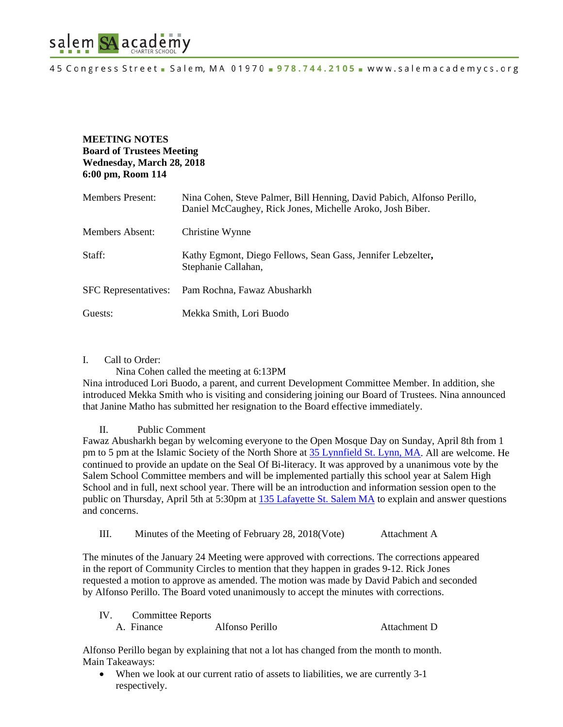

## **MEETING NOTES Board of Trustees Meeting Wednesday, March 28, 2018 6:00 pm, Room 114**

| <b>Members Present:</b> | Nina Cohen, Steve Palmer, Bill Henning, David Pabich, Alfonso Perillo,<br>Daniel McCaughey, Rick Jones, Michelle Aroko, Josh Biber. |
|-------------------------|-------------------------------------------------------------------------------------------------------------------------------------|
| Members Absent:         | Christine Wynne                                                                                                                     |
| Staff:                  | Kathy Egmont, Diego Fellows, Sean Gass, Jennifer Lebzelter,<br>Stephanie Callahan,                                                  |
|                         | SFC Representatives: Pam Rochna, Fawaz Abusharkh                                                                                    |
| Guests:                 | Mekka Smith, Lori Buodo                                                                                                             |

#### I. Call to Order:

Nina Cohen called the meeting at 6:13PM

Nina introduced Lori Buodo, a parent, and current Development Committee Member. In addition, she introduced Mekka Smith who is visiting and considering joining our Board of Trustees. Nina announced that Janine Matho has submitted her resignation to the Board effective immediately.

### II. Public Comment

Fawaz Abusharkh began by welcoming everyone to the Open Mosque Day on Sunday, April 8th from 1 pm to 5 pm at the Islamic Society of the North Shore at [35 Lynnfield St. Lynn, MA.](https://maps.google.com/?q=35+Lynnfield+st.+Lynn+MA&entry=gmail&source=g) All are welcome. He continued to provide an update on the Seal Of Bi-literacy. It was approved by a unanimous vote by the Salem School Committee members and will be implemented partially this school year at Salem High School and in full, next school year. There will be an introduction and information session open to the public on Thursday, April 5th at 5:30pm at [135 Lafayette St. Salem MA](https://maps.google.com/?q=135+Lafayette+St.+Salem+MA&entry=gmail&source=g) to explain and answer questions and concerns.

III. Minutes of the Meeting of February 28, 2018(Vote) Attachment A

The minutes of the January 24 Meeting were approved with corrections. The corrections appeared in the report of Community Circles to mention that they happen in grades 9-12. Rick Jones requested a motion to approve as amended. The motion was made by David Pabich and seconded by Alfonso Perillo. The Board voted unanimously to accept the minutes with corrections.

IV. Committee Reports A. Finance Alfonso Perillo Attachment D

Alfonso Perillo began by explaining that not a lot has changed from the month to month. Main Takeaways:

• When we look at our current ratio of assets to liabilities, we are currently 3-1 respectively.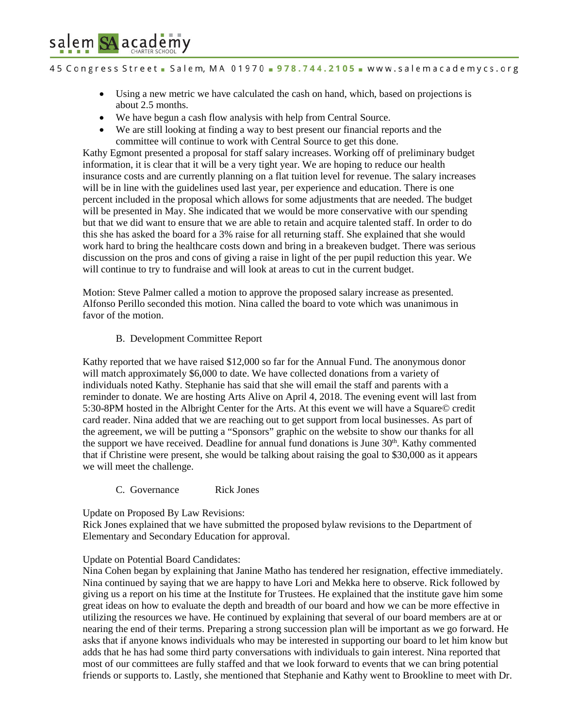# salem SA academy

45 Congress Street - Salem, MA 01970 - 978.744.2105 - www.salemacademycs.org

- Using a new metric we have calculated the cash on hand, which, based on projections is about 2.5 months.
- We have begun a cash flow analysis with help from Central Source.
- We are still looking at finding a way to best present our financial reports and the committee will continue to work with Central Source to get this done.

Kathy Egmont presented a proposal for staff salary increases. Working off of preliminary budget information, it is clear that it will be a very tight year. We are hoping to reduce our health insurance costs and are currently planning on a flat tuition level for revenue. The salary increases will be in line with the guidelines used last year, per experience and education. There is one percent included in the proposal which allows for some adjustments that are needed. The budget will be presented in May. She indicated that we would be more conservative with our spending but that we did want to ensure that we are able to retain and acquire talented staff. In order to do this she has asked the board for a 3% raise for all returning staff. She explained that she would work hard to bring the healthcare costs down and bring in a breakeven budget. There was serious discussion on the pros and cons of giving a raise in light of the per pupil reduction this year. We will continue to try to fundraise and will look at areas to cut in the current budget.

Motion: Steve Palmer called a motion to approve the proposed salary increase as presented. Alfonso Perillo seconded this motion. Nina called the board to vote which was unanimous in favor of the motion.

### B. Development Committee Report

Kathy reported that we have raised \$12,000 so far for the Annual Fund. The anonymous donor will match approximately \$6,000 to date. We have collected donations from a variety of individuals noted Kathy. Stephanie has said that she will email the staff and parents with a reminder to donate. We are hosting Arts Alive on April 4, 2018. The evening event will last from 5:30-8PM hosted in the Albright Center for the Arts. At this event we will have a Square© credit card reader. Nina added that we are reaching out to get support from local businesses. As part of the agreement, we will be putting a "Sponsors" graphic on the website to show our thanks for all the support we have received. Deadline for annual fund donations is June  $30<sup>th</sup>$ . Kathy commented that if Christine were present, she would be talking about raising the goal to \$30,000 as it appears we will meet the challenge.

C. Governance Rick Jones

Update on Proposed By Law Revisions:

Rick Jones explained that we have submitted the proposed bylaw revisions to the Department of Elementary and Secondary Education for approval.

### Update on Potential Board Candidates:

Nina Cohen began by explaining that Janine Matho has tendered her resignation, effective immediately. Nina continued by saying that we are happy to have Lori and Mekka here to observe. Rick followed by giving us a report on his time at the Institute for Trustees. He explained that the institute gave him some great ideas on how to evaluate the depth and breadth of our board and how we can be more effective in utilizing the resources we have. He continued by explaining that several of our board members are at or nearing the end of their terms. Preparing a strong succession plan will be important as we go forward. He asks that if anyone knows individuals who may be interested in supporting our board to let him know but adds that he has had some third party conversations with individuals to gain interest. Nina reported that most of our committees are fully staffed and that we look forward to events that we can bring potential friends or supports to. Lastly, she mentioned that Stephanie and Kathy went to Brookline to meet with Dr.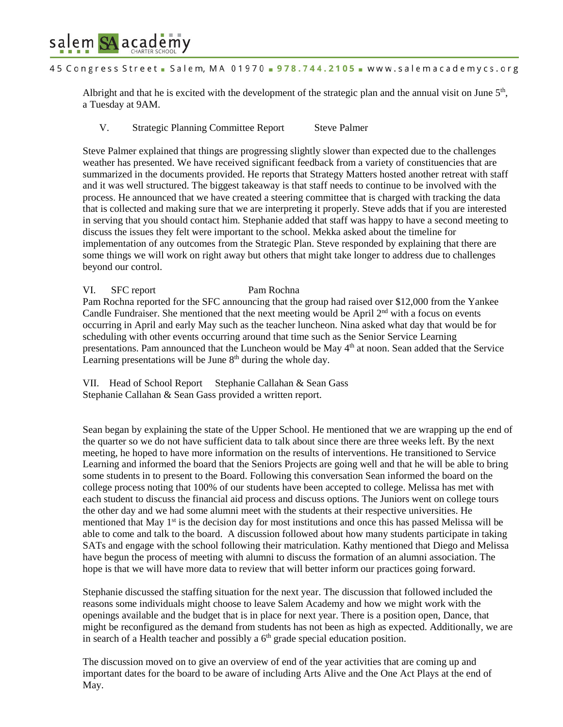

Albright and that he is excited with the development of the strategic plan and the annual visit on June  $5<sup>th</sup>$ , a Tuesday at 9AM.

V. Strategic Planning Committee Report Steve Palmer

salem SA academy

Steve Palmer explained that things are progressing slightly slower than expected due to the challenges weather has presented. We have received significant feedback from a variety of constituencies that are summarized in the documents provided. He reports that Strategy Matters hosted another retreat with staff and it was well structured. The biggest takeaway is that staff needs to continue to be involved with the process. He announced that we have created a steering committee that is charged with tracking the data that is collected and making sure that we are interpreting it properly. Steve adds that if you are interested in serving that you should contact him. Stephanie added that staff was happy to have a second meeting to discuss the issues they felt were important to the school. Mekka asked about the timeline for implementation of any outcomes from the Strategic Plan. Steve responded by explaining that there are some things we will work on right away but others that might take longer to address due to challenges beyond our control.

VI. SFC report Pam Rochna Pam Rochna reported for the SFC announcing that the group had raised over \$12,000 from the Yankee Candle Fundraiser. She mentioned that the next meeting would be April  $2<sup>nd</sup>$  with a focus on events occurring in April and early May such as the teacher luncheon. Nina asked what day that would be for scheduling with other events occurring around that time such as the Senior Service Learning presentations. Pam announced that the Luncheon would be May 4<sup>th</sup> at noon. Sean added that the Service Learning presentations will be June  $8<sup>th</sup>$  during the whole day.

VII. Head of School Report Stephanie Callahan & Sean Gass Stephanie Callahan & Sean Gass provided a written report.

Sean began by explaining the state of the Upper School. He mentioned that we are wrapping up the end of the quarter so we do not have sufficient data to talk about since there are three weeks left. By the next meeting, he hoped to have more information on the results of interventions. He transitioned to Service Learning and informed the board that the Seniors Projects are going well and that he will be able to bring some students in to present to the Board. Following this conversation Sean informed the board on the college process noting that 100% of our students have been accepted to college. Melissa has met with each student to discuss the financial aid process and discuss options. The Juniors went on college tours the other day and we had some alumni meet with the students at their respective universities. He mentioned that May  $1<sup>st</sup>$  is the decision day for most institutions and once this has passed Melissa will be able to come and talk to the board. A discussion followed about how many students participate in taking SATs and engage with the school following their matriculation. Kathy mentioned that Diego and Melissa have begun the process of meeting with alumni to discuss the formation of an alumni association. The hope is that we will have more data to review that will better inform our practices going forward.

Stephanie discussed the staffing situation for the next year. The discussion that followed included the reasons some individuals might choose to leave Salem Academy and how we might work with the openings available and the budget that is in place for next year. There is a position open, Dance, that might be reconfigured as the demand from students has not been as high as expected. Additionally, we are in search of a Health teacher and possibly a  $6<sup>th</sup>$  grade special education position.

The discussion moved on to give an overview of end of the year activities that are coming up and important dates for the board to be aware of including Arts Alive and the One Act Plays at the end of May.